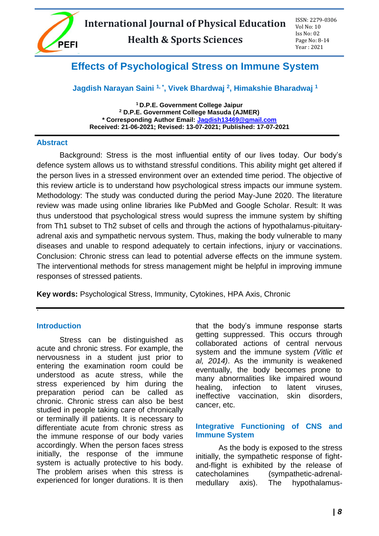

# **Effects of Psychological Stress on Immune System**

# **Jagdish Narayan Saini 1, \* , Vivek Bhardwaj <sup>2</sup> , Himakshie Bharadwaj <sup>1</sup>**

**<sup>1</sup> D.P.E. Government College Jaipur <sup>2</sup> D.P.E. Government College Masuda (AJMER) \* Corresponding Author Email: [Jagdish13469@gmail.com](mailto:Jagdish13469@gmail.com) Received: 21-06-2021; Revised: 13-07-2021; Published: 17-07-2021**

#### **Abstract**

Background: Stress is the most influential entity of our lives today. Our body's defence system allows us to withstand stressful conditions. This ability might get altered if the person lives in a stressed environment over an extended time period. The objective of this review article is to understand how psychological stress impacts our immune system. Methodology: The study was conducted during the period May-June 2020. The literature review was made using online libraries like PubMed and Google Scholar. Result: It was thus understood that psychological stress would supress the immune system by shifting from Th1 subset to Th2 subset of cells and through the actions of hypothalamus-pituitaryadrenal axis and sympathetic nervous system. Thus, making the body vulnerable to many diseases and unable to respond adequately to certain infections, injury or vaccinations. Conclusion: Chronic stress can lead to potential adverse effects on the immune system. The interventional methods for stress management might be helpful in improving immune responses of stressed patients.

**Key words:** Psychological Stress, Immunity, Cytokines, HPA Axis, Chronic

#### **Introduction**

.

Stress can be distinguished as acute and chronic stress. For example, the nervousness in a student just prior to entering the examination room could be understood as acute stress, while the stress experienced by him during the preparation period can be called as chronic. Chronic stress can also be best studied in people taking care of chronically or terminally ill patients. It is necessary to differentiate acute from chronic stress as the immune response of our body varies accordingly. When the person faces stress initially, the response of the immune system is actually protective to his body. The problem arises when this stress is experienced for longer durations. It is then

that the body's immune response starts getting suppressed. This occurs through collaborated actions of central nervous system and the immune system *(Vitlic et al, 2014)*. As the immunity is weakened eventually, the body becomes prone to many abnormalities like impaired wound healing, infection to latent viruses. ineffective vaccination, skin disorders, cancer, etc.

## **Integrative Functioning of CNS and Immune System**

As the body is exposed to the stress initially, the sympathetic response of fightand-flight is exhibited by the release of catecholamines (sympathetic-adrenalmedullary axis). The hypothalamus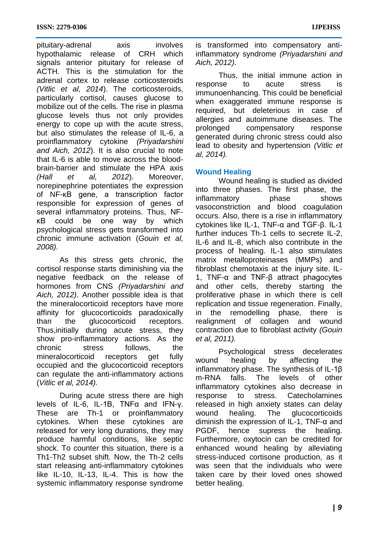pituitary-adrenal axis involves hypothalamic release of CRH which signals anterior pituitary for release of ACTH. This is the stimulation for the adrenal cortex to release corticosteroids *(Vitlic et al, 2014*). The corticosteroids, particularly cortisol, causes glucose to mobilize out of the cells. The rise in plasma glucose levels thus not only provides energy to cope up with the acute stress, but also stimulates the release of IL-6, a proinflammatory cytokine *(Priyadarshini and Aich, 2012*). It is also crucial to note that IL-6 is able to move across the bloodbrain-barrier and stimulate the HPA axis *(Hall et al, 2012*). Moreover, norepinephrine potentiates the expression of NF-κB gene, a transcription factor responsible for expression of genes of several inflammatory proteins. Thus, NFκB could be one way by which psychological stress gets transformed into chronic immune activation (*Gouin et al, 2008).*

As this stress gets chronic, the cortisol response starts diminishing via the negative feedback on the release of hormones from CNS *(Priyadarshini and Aich, 2012)*. Another possible idea is that the mineralocorticoid receptors have more affinity for glucocorticoids paradoxically than the glucocorticoid receptors. Thus,initially during acute stress, they show pro-inflammatory actions. As the chronic stress follows, the mineralocorticoid receptors get fully occupied and the glucocorticoid receptors can regulate the anti-inflammatory actions (*Vitlic et al, 2014).*

During acute stress there are high levels of IL-6, IL-1B, TNFα and IFN-γ. These are Th-1 or proinflammatory cytokines. When these cytokines are released for very long durations, they may produce harmful conditions, like septic shock. To counter this situation, there is a Th1-Th2 subset shift. Now, the Th-2 cells start releasing anti-inflammatory cytokines like IL-10, IL-13, IL-4. This is how the systemic inflammatory response syndrome

is transformed into compensatory antiinflammatory syndrome *(Priyadarshini and Aich, 2012)*.

Thus, the initial immune action in response to acute stress is immunoenhancing. This could be beneficial when exaggerated immune response is required, but deleterious in case of allergies and autoimmune diseases. The prolonged compensatory response generated during chronic stress could also lead to obesity and hypertension *(Vitlic et al, 2014).*

# **Wound Healing**

Wound healing is studied as divided into three phases. The first phase, the inflammatory phase shows vasoconstriction and blood coagulation occurs. Also, there is a rise in inflammatory cytokines like IL-1, TNF-α and TGF-β. IL-1 further induces Th-1 cells to secrete IL-2, IL-6 and IL-8, which also contribute in the process of healing. IL-1 also stimulates matrix metalloproteinases (MMPs) and fibroblast chemotaxis at the injury site. IL-1, TNF-α and TNF-β attract phagocytes and other cells, thereby starting the proliferative phase in which there is cell replication and tissue regeneration. Finally, in the remodelling phase, there is realignment of collagen and wound contraction due to fibroblast activity *(Gouin et al, 2011).*

Psychological stress decelerates wound healing by affecting the inflammatory phase. The synthesis of IL-1β m-RNA falls. The levels of other inflammatory cytokines also decrease in response to stress. Catecholamines released in high anxiety states can delay wound healing. The glucocorticoids diminish the expression of IL-1, TNF-α and PGDF, hence supress the healing. Furthermore, oxytocin can be credited for enhanced wound healing by alleviating stress-induced cortisone production, as it was seen that the individuals who were taken care by their loved ones showed better healing.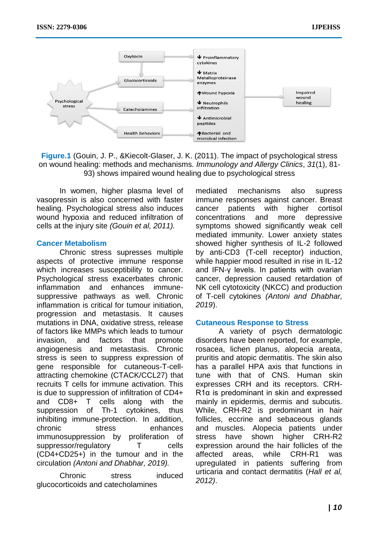

**Figure.1** (Gouin, J. P., &Kiecolt-Glaser, J. K. (2011). The impact of psychological stress on wound healing: methods and mechanisms. *Immunology and Allergy Clinics*, *31*(1), 81- 93) shows impaired wound healing due to psychological stress

In women, higher plasma level of vasopressin is also concerned with faster healing. Psychological stress also induces wound hypoxia and reduced infiltration of cells at the injury site *(Gouin et al, 2011).*

#### **Cancer Metabolism**

Chronic stress supresses multiple aspects of protective immune response which increases susceptibility to cancer. Psychological stress exacerbates chronic inflammation and enhances immunesuppressive pathways as well. Chronic inflammation is critical for tumour initiation, progression and metastasis. It causes mutations in DNA, oxidative stress, release of factors like MMPs which leads to tumour invasion, and factors that promote angiogenesis and metastasis. Chronic stress is seen to suppress expression of gene responsible for cutaneous-T-cellattracting chemokine (CTACK/CCL27) that recruits T cells for immune activation. This is due to suppression of infiltration of CD4+ and CD8+ T cells along with the suppression of Th-1 cytokines, thus inhibiting immune-protection. In addition, chronic stress enhances immunosuppression by proliferation of suppressor/regulatory T cells (CD4+CD25+) in the tumour and in the circulation *(Antoni and Dhabhar, 2019).* 

Chronic stress induced glucocorticoids and catecholamines

mediated mechanisms also supress immune responses against cancer. Breast cancer patients with higher cortisol concentrations and more depressive symptoms showed significantly weak cell mediated immunity. Lower anxiety states showed higher synthesis of IL-2 followed by anti-CD3 (T-cell receptor) induction, while happier mood resulted in rise in IL-12 and IFN-γ levels. In patients with ovarian cancer, depression caused retardation of NK cell cytotoxicity (NKCC) and production of T-cell cytokines *(Antoni and Dhabhar, 2019*).

#### **Cutaneous Response to Stress**

A variety of psych dermatologic disorders have been reported, for example, rosacea, lichen planus, alopecia areata, pruritis and atopic dermatitis. The skin also has a parallel HPA axis that functions in tune with that of CNS. Human skin expresses CRH and its receptors. CRH-R1α is predominant in skin and expressed mainly in epidermis, dermis and subcutis. While, CRH-R2 is predominant in hair follicles, eccrine and sebaceous glands and muscles. Alopecia patients under stress have shown higher CRH-R2 expression around the hair follicles of the affected areas, while CRH-R1 was upregulated in patients suffering from urticaria and contact dermatitis (*Hall et al, 2012)*.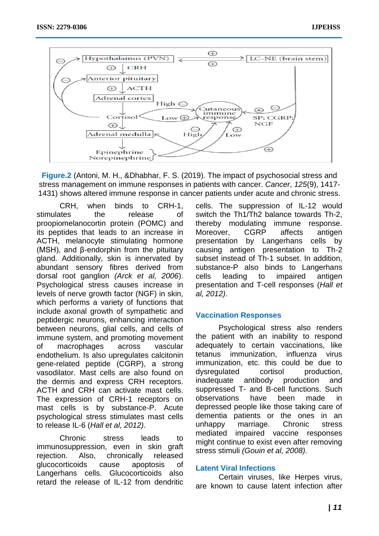

**Figure.2** (Antoni, M. H., &Dhabhar, F. S. (2019). The impact of psychosocial stress and stress management on immune responses in patients with cancer. *Cancer*, *125*(9), 1417- 1431) shows altered immune response in cancer patients under acute and chronic stress.

CRH, when binds to CRH-1, stimulates the release of proopiomelanocortin protein (POMC) and its peptides that leads to an increase in ACTH, melanocyte stimulating hormone (MSH), and β-endorphin from the pituitary gland. Additionally, skin is innervated by abundant sensory fibres derived from dorsal root ganglion *(Arck et al, 2006*). Psychological stress causes increase in levels of nerve growth factor (NGF) in skin, which performs a variety of functions that include axonal growth of sympathetic and peptidergic neurons, enhancing interaction between neurons, glial cells, and cells of immune system, and promoting movement of macrophages across vascular endothelium. Is also upregulates calcitonin gene-related peptide (CGRP), a strong vasodilator. Mast cells are also found on the dermis and express CRH receptors. ACTH and CRH can activate mast cells. The expression of CRH-1 receptors on mast cells is by substance-P. Acute psychological stress stimulates mast cells to release IL-6 (*Hall et al, 2012)*.

Chronic stress leads to immunosuppression, even in skin graft rejection. Also, chronically released glucocorticoids cause apoptosis of Langerhans cells. Glucocorticoids also retard the release of IL-12 from dendritic cells. The suppression of IL-12 would switch the Th1/Th2 balance towards Th-2, thereby modulating immune response. Moreover, CGRP affects antigen presentation by Langerhans cells by causing antigen presentation to Th-2 subset instead of Th-1 subset. In addition, substance-P also binds to Langerhans cells leading to impaired antigen presentation and T-cell responses (*Hall et al, 2012)*.

# **Vaccination Responses**

Psychological stress also renders the patient with an inability to respond adequately to certain vaccinations, like tetanus immunization, influenza virus immunization, etc. this could be due to dysregulated cortisol production, inadequate antibody production and suppressed T- and B-cell functions. Such observations have been made in depressed people like those taking care of dementia patients or the ones in an unhappy marriage. Chronic stress mediated impaired vaccine responses might continue to exist even after removing stress stimuli *(Gouin et al, 2008).*

# **Latent Viral Infections**

Certain viruses, like Herpes virus, are known to cause latent infection after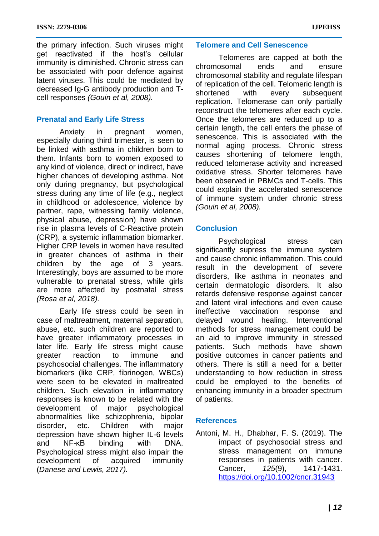the primary infection. Such viruses might get reactivated if the host's cellular immunity is diminished. Chronic stress can be associated with poor defence against latent viruses. This could be mediated by decreased Ig-G antibody production and Tcell responses *(Gouin et al, 2008).*

# **Prenatal and Early Life Stress**

Anxiety in pregnant women, especially during third trimester, is seen to be linked with asthma in children born to them. Infants born to women exposed to any kind of violence, direct or indirect, have higher chances of developing asthma. Not only during pregnancy, but psychological stress during any time of life (e.g., neglect in childhood or adolescence, violence by partner, rape, witnessing family violence, physical abuse, depression) have shown rise in plasma levels of C-Reactive protein (CRP), a systemic inflammation biomarker. Higher CRP levels in women have resulted in greater chances of asthma in their children by the age of 3 years. Interestingly, boys are assumed to be more vulnerable to prenatal stress, while girls are more affected by postnatal stress *(Rosa et al, 2018).*

Early life stress could be seen in case of maltreatment, maternal separation, abuse, etc. such children are reported to have greater inflammatory processes in later life. Early life stress might cause greater reaction to immune and psychosocial challenges. The inflammatory biomarkers (like CRP, fibrinogen, WBCs) were seen to be elevated in maltreated children. Such elevation in inflammatory responses is known to be related with the development of major psychological abnormalities like schizophrenia, bipolar disorder, etc. Children with major depression have shown higher IL-6 levels and NF-κB binding with DNA. Psychological stress might also impair the development of acquired immunity (*Danese and Lewis, 2017).* 

## **Telomere and Cell Senescence**

Telomeres are capped at both the chromosomal ends and ensure chromosomal stability and regulate lifespan of replication of the cell. Telomeric length is shortened with every subsequent replication. Telomerase can only partially reconstruct the telomeres after each cycle. Once the telomeres are reduced up to a certain length, the cell enters the phase of senescence. This is associated with the normal aging process. Chronic stress causes shortening of telomere length, reduced telomerase activity and increased oxidative stress. Shorter telomeres have been observed in PBMCs and T-cells. This could explain the accelerated senescence of immune system under chronic stress *(Gouin et al, 2008).*

## **Conclusion**

Psychological stress can significantly supress the immune system and cause chronic inflammation. This could result in the development of severe disorders, like asthma in neonates and certain dermatologic disorders. It also retards defensive response against cancer and latent viral infections and even cause ineffective vaccination response and delayed wound healing. Interventional methods for stress management could be an aid to improve immunity in stressed patients. Such methods have shown positive outcomes in cancer patients and others. There is still a need for a better understanding to how reduction in stress could be employed to the benefits of enhancing immunity in a broader spectrum of patients.

#### **References**

Antoni, M. H., Dhabhar, F. S. (2019). The impact of psychosocial stress and stress management on immune responses in patients with cancer. Cancer, *125*(9), 1417-1431. <https://doi.org/10.1002/cncr.31943>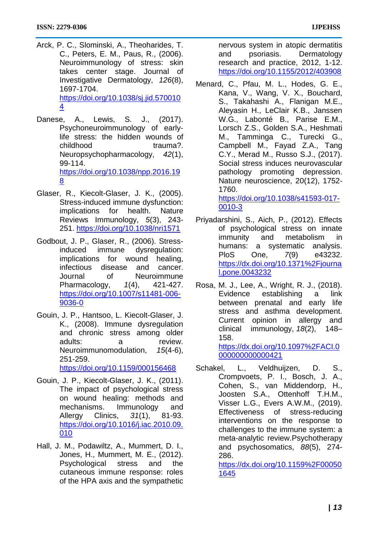- Arck, P. C., Slominski, A., Theoharides, T. C., Peters, E. M., Paus, R., (2006). Neuroimmunology of stress: skin takes center stage. Journal of Investigative Dermatology, *126*(8), 1697-1704. [https://doi.org/10.1038/sj.jid.570010](https://doi.org/10.1038/sj.jid.5700104) [4](https://doi.org/10.1038/sj.jid.5700104)
- Danese, A., Lewis, S. J., (2017). Psychoneuroimmunology of earlylife stress: the hidden wounds of childhood trauma?. Neuropsychopharmacology, *42*(1), 99-114. [https://doi.org/10.1038/npp.2016.19](https://doi.org/10.1038/npp.2016.198) [8](https://doi.org/10.1038/npp.2016.198)
- Glaser, R., Kiecolt-Glaser, J. K., (2005). Stress-induced immune dysfunction: implications for health. Nature Reviews Immunology, *5*(3), 243- 251.<https://doi.org/10.1038/nri1571>
- Godbout, J. P., Glaser, R., (2006). Stressinduced immune dysregulation: implications for wound healing, infectious disease and cancer. Journal of Neuroimmune Pharmacology, *1*(4), 421-427. [https://doi.org/10.1007/s11481-006-](https://doi.org/10.1007/s11481-006-9036-0) [9036-0](https://doi.org/10.1007/s11481-006-9036-0)
- Gouin, J. P., Hantsoo, L. Kiecolt-Glaser, J. K., (2008). Immune dysregulation and chronic stress among older adults: a review. Neuroimmunomodulation, *15*(4-6), 251-259. <https://doi.org/10.1159/000156468>
- Gouin, J. P., Kiecolt-Glaser, J. K., (2011). The impact of psychological stress on wound healing: methods and mechanisms. Immunology and Allergy Clinics, *31*(1), 81-93. [https://doi.org/10.1016/j.iac.2010.09.](https://doi.org/10.1016/j.iac.2010.09.010) [010](https://doi.org/10.1016/j.iac.2010.09.010)
- Hall, J. M., Podawiltz, A., Mummert, D. I., Jones, H., Mummert, M. E., (2012). Psychological stress and the cutaneous immune response: roles of the HPA axis and the sympathetic

nervous system in atopic dermatitis and psoriasis. Dermatology research and practice, 2012, 1-12. <https://doi.org/10.1155/2012/403908>

Menard, C., Pfau, M. L., Hodes, G. E., Kana, V., Wang, V. X., Bouchard, S., Takahashi A., Flanigan M.E., Aleyasin H., LeClair K.B., Janssen W.G., Labonté B., Parise E.M., Lorsch Z.S., Golden S.A., Heshmati M., Tamminga C., Turecki G., Campbell M., Fayad Z.A., Tang C.Y., Merad M., Russo S.J., (2017). Social stress induces neurovascular pathology promoting depression. Nature neuroscience, 20(12), 1752- 1760. [https://doi.org/10.1038/s41593-017-](https://doi.org/10.1038/s41593-017-0010-3)

[0010-3](https://doi.org/10.1038/s41593-017-0010-3)

- Priyadarshini, S., Aich, P., (2012). Effects of psychological stress on innate immunity and metabolism in humans: a systematic analysis. PloS One, *7*(9) e43232. [https://dx.doi.org/10.1371%2Fjourna](https://dx.doi.org/10.1371%2Fjournal.pone.0043232) [l.pone.0043232](https://dx.doi.org/10.1371%2Fjournal.pone.0043232)
- Rosa, M. J., Lee, A., Wright, R. J., (2018). Evidence establishing a link between prenatal and early life stress and asthma development. Current opinion in allergy and clinical immunology, *18*(2), 148– 158. [https://dx.doi.org/10.1097%2FACI.0](https://dx.doi.org/10.1097%2FACI.0000000000000421)

[000000000000421](https://dx.doi.org/10.1097%2FACI.0000000000000421)

Schakel, L., Veldhuiizen, D. S., Crompvoets, P. I., Bosch, J. A., Cohen, S., van Middendorp, H., Joosten S.A., Ottenhoff T.H.M., Visser L.G., Evers A.W.M., (2019). Effectiveness of stress-reducing interventions on the response to challenges to the immune system: a meta-analytic review.Psychotherapy and psychosomatics, *88*(5), 274- 286.

[https://dx.doi.org/10.1159%2F00050](https://dx.doi.org/10.1159%2F000501645) [1645](https://dx.doi.org/10.1159%2F000501645)